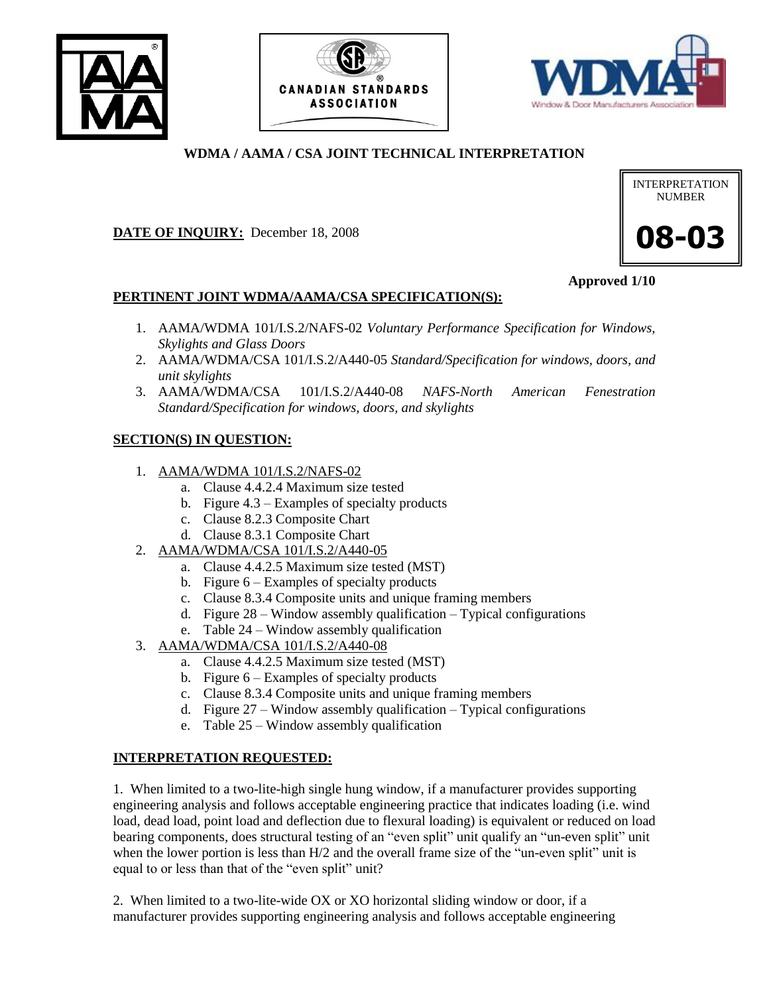





## **WDMA / AAMA / CSA JOINT TECHNICAL INTERPRETATION**

#### **DATE OF INQUIRY:** December 18, 2008

# INTERPRETATION NUMBER **08-03**

**Approved 1/10**

## **PERTINENT JOINT WDMA/AAMA/CSA SPECIFICATION(S):**

- 1. AAMA/WDMA 101/I.S.2/NAFS-02 *Voluntary Performance Specification for Windows, Skylights and Glass Doors*
- 2. AAMA/WDMA/CSA 101/I.S.2/A440-05 *Standard/Specification for windows, doors, and unit skylights*
- 3. AAMA/WDMA/CSA 101/I.S.2/A440-08 *NAFS-North American Fenestration Standard/Specification for windows, doors, and skylights*

## **SECTION(S) IN QUESTION:**

- 1. AAMA/WDMA 101/I.S.2/NAFS-02
	- a. Clause 4.4.2.4 Maximum size tested
	- b. Figure 4.3 Examples of specialty products
	- c. Clause 8.2.3 Composite Chart
	- d. Clause 8.3.1 Composite Chart
- 2. AAMA/WDMA/CSA 101/I.S.2/A440-05
	- a. Clause 4.4.2.5 Maximum size tested (MST)
	- b. Figure 6 Examples of specialty products
	- c. Clause 8.3.4 Composite units and unique framing members
	- d. Figure 28 Window assembly qualification Typical configurations
	- e. Table 24 Window assembly qualification
- 3. AAMA/WDMA/CSA 101/I.S.2/A440-08
	- a. Clause 4.4.2.5 Maximum size tested (MST)
	- b. Figure 6 Examples of specialty products
	- c. Clause 8.3.4 Composite units and unique framing members
	- d. Figure 27 Window assembly qualification Typical configurations
	- e. Table 25 Window assembly qualification

#### **INTERPRETATION REQUESTED:**

1. When limited to a two-lite-high single hung window, if a manufacturer provides supporting engineering analysis and follows acceptable engineering practice that indicates loading (i.e. wind load, dead load, point load and deflection due to flexural loading) is equivalent or reduced on load bearing components, does structural testing of an "even split" unit qualify an "un-even split" unit when the lower portion is less than  $H/2$  and the overall frame size of the "un-even split" unit is equal to or less than that of the "even split" unit?

2. When limited to a two-lite-wide OX or XO horizontal sliding window or door, if a manufacturer provides supporting engineering analysis and follows acceptable engineering